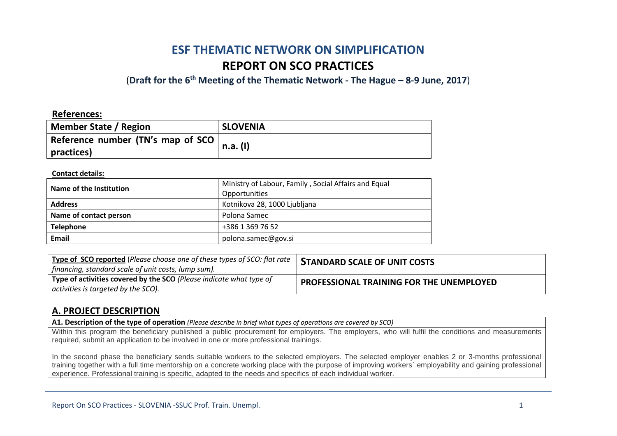# **ESF THEMATIC NETWORK ON SIMPLIFICATION REPORT ON SCO PRACTICES**

(**Draft for the 6th Meeting of the Thematic Network - The Hague – 8-9 June, 2017**)

#### **References:**

| <b>Member State / Region</b>                            | <b>SLOVENIA</b> |
|---------------------------------------------------------|-----------------|
| Reference number (TN's map of SCO $\vert$<br>practices) | n.a. (I)        |

#### **Contact details:**

| Name of the Institution | Ministry of Labour, Family, Social Affairs and Equal<br>Opportunities |
|-------------------------|-----------------------------------------------------------------------|
| <b>Address</b>          | Kotnikova 28, 1000 Ljubljana                                          |
| Name of contact person  | Polona Samec                                                          |
| <b>Telephone</b>        | +386 1 369 76 52                                                      |
| Email                   | polona.samec@gov.si                                                   |

| <sup>'</sup> Type of SCO reported (Please choose one of these types of SCO: flat rate )<br>  financing, standard scale of unit costs, lump sum). | <b>STANDARD SCALE OF UNIT COSTS</b>             |
|--------------------------------------------------------------------------------------------------------------------------------------------------|-------------------------------------------------|
| Type of activities covered by the SCO (Please indicate what type of<br>activities is targeted by the SCO).                                       | <b>PROFESSIONAL TRAINING FOR THE UNEMPLOYED</b> |

#### **A. PROJECT DESCRIPTION**

**A1. Description of the type of operation** *(Please describe in brief what types of operations are covered by SCO)*

Within this program the beneficiary published a public procurement for employers. The employers, who will fulfil the conditions and measurements required, submit an application to be involved in one or more professional trainings.

In the second phase the beneficiary sends suitable workers to the selected employers. The selected employer enables 2 or 3-months professional training together with a full time mentorship on a concrete working place with the purpose of improving workers` employability and gaining professional experience. Professional training is specific, adapted to the needs and specifics of each individual worker.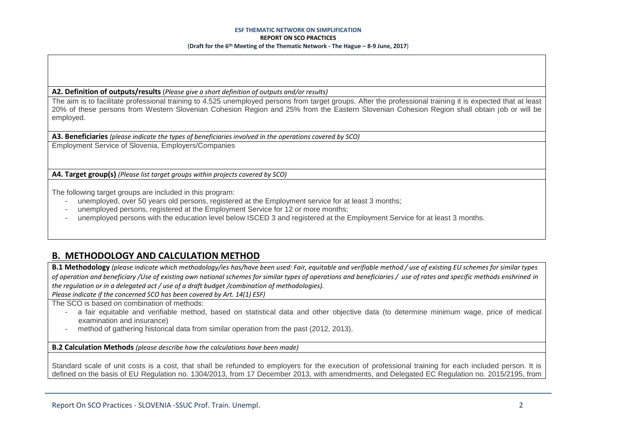#### **ESF THEMATIC NETWORK ON SIMPLIFICATION REPORT ON SCO PRACTICES** (**Draft for the 6th Meeting of the Thematic Network - The Hague – 8-9 June, 2017**)

**A2. Definition of outputs/results** (*Please give a short definition of outputs and/or results)*

The aim is to facilitate professional training to 4.525 unemployed persons from target groups. After the professional training it is expected that at least 20% of these persons from Western Slovenian Cohesion Region and 25% from the Eastern Slovenian Cohesion Region shall obtain job or will be employed.

**A3. Beneficiaries** *(please indicate the types of beneficiaries involved in the operations covered by SCO)*

Employment Service of Slovenia, Employers/Companies

**A4. Target group(s)** *(Please list target groups within projects covered by SCO)*

The following target groups are included in this program:

- unemploved, over 50 years old persons, registered at the Employment service for at least 3 months;
- unemployed persons, registered at the Employment Service for 12 or more months;
- unemployed persons with the education level below ISCED 3 and registered at the Employment Service for at least 3 months.

## **B. METHODOLOGY AND CALCULATION METHOD**

**B.1 Methodology** *(please indicate which methodology/ies has/have been used: Fair, equitable and verifiable method / use of existing EU schemes for similar types of operation and beneficiary /Use of existing own national schemes for similar types of operations and beneficiaries / use of rates and specific methods enshrined in the regulation or in a delegated act / use of a draft budget /combination of methodologies).*

*Please indicate if the concerned SCO has been covered by Art. 14(1) ESF)*

The SCO is based on combination of methods:

- a fair equitable and verifiable method, based on statistical data and other objective data (to determine minimum wage, price of medical examination and insurance)
- method of gathering historical data from similar operation from the past (2012, 2013).

**B.2 Calculation Methods** *(please describe how the calculations have been made)*

Standard scale of unit costs is a cost, that shall be refunded to employers for the execution of professional training for each included person. It is defined on the basis of EU Regulation no. 1304/2013, from 17 December 2013, with amendments, and Delegated EC Regulation no. 2015/2195, from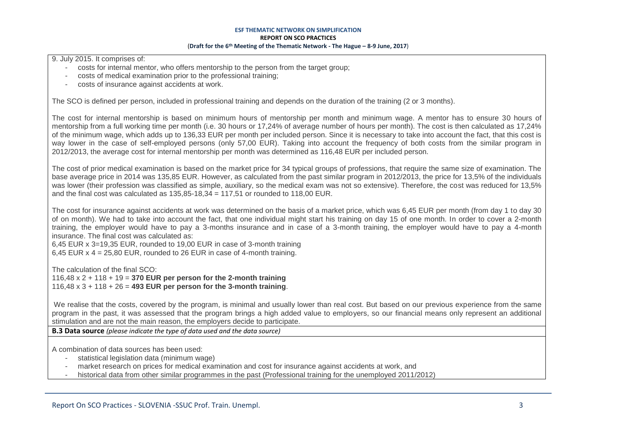9. July 2015. It comprises of:

- costs for internal mentor, who offers mentorship to the person from the target group;
- costs of medical examination prior to the professional training;
- costs of insurance against accidents at work.

The SCO is defined per person, included in professional training and depends on the duration of the training (2 or 3 months).

The cost for internal mentorship is based on minimum hours of mentorship per month and minimum wage. A mentor has to ensure 30 hours of mentorship from a full working time per month (i.e. 30 hours or 17,24% of average number of hours per month). The cost is then calculated as 17,24% of the minimum wage, which adds up to 136,33 EUR per month per included person. Since it is necessary to take into account the fact, that this cost is way lower in the case of self-employed persons (only 57,00 EUR). Taking into account the frequency of both costs from the similar program in 2012/2013, the average cost for internal mentorship per month was determined as 116,48 EUR per included person.

The cost of prior medical examination is based on the market price for 34 typical groups of professions, that require the same size of examination. The base average price in 2014 was 135,85 EUR. However, as calculated from the past similar program in 2012/2013, the price for 13,5% of the individuals was lower (their profession was classified as simple, auxiliary, so the medical exam was not so extensive). Therefore, the cost was reduced for 13,5% and the final cost was calculated as  $135.85 - 18.34 = 117.51$  or rounded to 118,00 EUR.

The cost for insurance against accidents at work was determined on the basis of a market price, which was 6,45 EUR per month (from day 1 to day 30 of on month). We had to take into account the fact, that one individual might start his training on day 15 of one month. In order to cover a 2-month training, the employer would have to pay a 3-months insurance and in case of a 3-month training, the employer would have to pay a 4-month insurance. The final cost was calculated as:

6,45 EUR x 3=19,35 EUR, rounded to 19,00 EUR in case of 3-month training 6,45 EUR  $x$  4 = 25,80 EUR, rounded to 26 EUR in case of 4-month training.

The calculation of the final SCO: 116,48 x 2 + 118 + 19 = **370 EUR per person for the 2-month training** 116,48 x 3 + 118 + 26 = **493 EUR per person for the 3-month training**.

We realise that the costs, covered by the program, is minimal and usually lower than real cost. But based on our previous experience from the same program in the past, it was assessed that the program brings a high added value to employers, so our financial means only represent an additional stimulation and are not the main reason, the employers decide to participate.

**B.3 Data source** *(please indicate the type of data used and the data source)*

A combination of data sources has been used:

- statistical legislation data (minimum wage)
- market research on prices for medical examination and cost for insurance against accidents at work, and
- historical data from other similar programmes in the past (Professional training for the unemployed 2011/2012)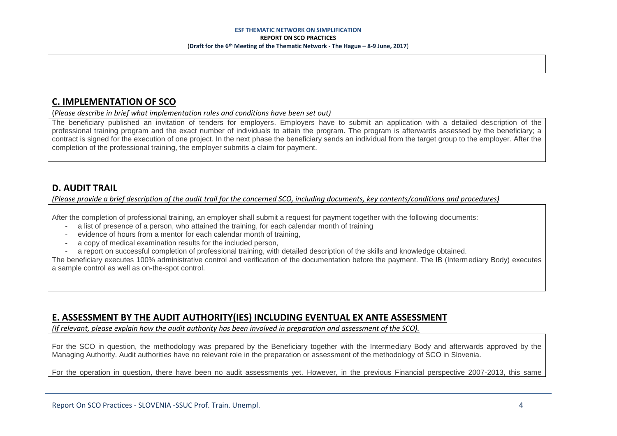## **C. IMPLEMENTATION OF SCO**

(*Please describe in brief what implementation rules and conditions have been set out)*

The beneficiary published an invitation of tenders for employers. Employers have to submit an application with a detailed description of the professional training program and the exact number of individuals to attain the program. The program is afterwards assessed by the beneficiary; a contract is signed for the execution of one project. In the next phase the beneficiary sends an individual from the target group to the employer. After the completion of the professional training, the employer submits a claim for payment.

### **D. AUDIT TRAIL**

*(Please provide a brief description of the audit trail for the concerned SCO, including documents, key contents/conditions and procedures)*

After the completion of professional training, an employer shall submit a request for payment together with the following documents:

- a list of presence of a person, who attained the training, for each calendar month of training
- evidence of hours from a mentor for each calendar month of training,
- a copy of medical examination results for the included person.
- a report on successful completion of professional training, with detailed description of the skills and knowledge obtained.

The beneficiary executes 100% administrative control and verification of the documentation before the payment. The IB (Intermediary Body) executes a sample control as well as on-the-spot control.

## **E. ASSESSMENT BY THE AUDIT AUTHORITY(IES) INCLUDING EVENTUAL EX ANTE ASSESSMENT**

*(If relevant, please explain how the audit authority has been involved in preparation and assessment of the SCO).* 

For the SCO in question, the methodology was prepared by the Beneficiary together with the Intermediary Body and afterwards approved by the Managing Authority. Audit authorities have no relevant role in the preparation or assessment of the methodology of SCO in Slovenia.

For the operation in question, there have been no audit assessments yet. However, in the previous Financial perspective 2007-2013, this same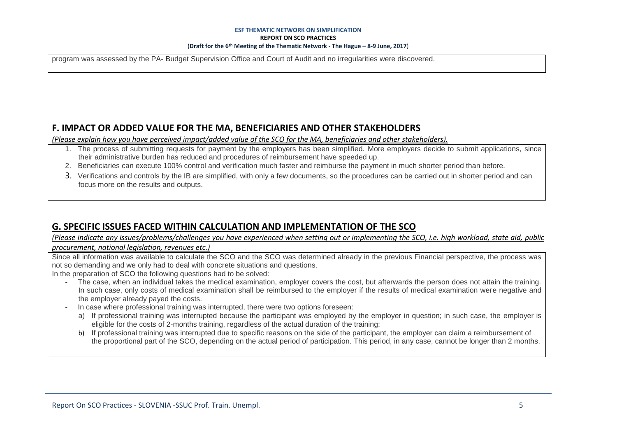#### **ESF THEMATIC NETWORK ON SIMPLIFICATION REPORT ON SCO PRACTICES** (**Draft for the 6th Meeting of the Thematic Network - The Hague – 8-9 June, 2017**)

program was assessed by the PA- Budget Supervision Office and Court of Audit and no irregularities were discovered.

#### **F. IMPACT OR ADDED VALUE FOR THE MA, BENEFICIARIES AND OTHER STAKEHOLDERS**

*(Please explain how you have perceived impact/added value of the SCO for the MA, beneficiaries and other stakeholders).* 

- 1. The process of submitting requests for payment by the employers has been simplified. More employers decide to submit applications, since their administrative burden has reduced and procedures of reimbursement have speeded up.
- 2. Beneficiaries can execute 100% control and verification much faster and reimburse the payment in much shorter period than before.
- 3. Verifications and controls by the IB are simplified, with only a few documents, so the procedures can be carried out in shorter period and can focus more on the results and outputs.

#### **G. SPECIFIC ISSUES FACED WITHIN CALCULATION AND IMPLEMENTATION OF THE SCO**

*(Please indicate any issues/problems/challenges you have experienced when setting out or implementing the SCO, i.e. high workload, state aid, public procurement, national legislation, revenues etc.)*

Since all information was available to calculate the SCO and the SCO was determined already in the previous Financial perspective, the process was not so demanding and we only had to deal with concrete situations and questions.

In the preparation of SCO the following questions had to be solved:

- The case, when an individual takes the medical examination, employer covers the cost, but afterwards the person does not attain the training. In such case, only costs of medical examination shall be reimbursed to the employer if the results of medical examination were negative and the employer already payed the costs.
- In case where professional training was interrupted, there were two options foreseen:
	- a) If professional training was interrupted because the participant was employed by the employer in question; in such case, the employer is eligible for the costs of 2-months training, regardless of the actual duration of the training;
	- b) If professional training was interrupted due to specific reasons on the side of the participant, the employer can claim a reimbursement of the proportional part of the SCO, depending on the actual period of participation. This period, in any case, cannot be longer than 2 months.